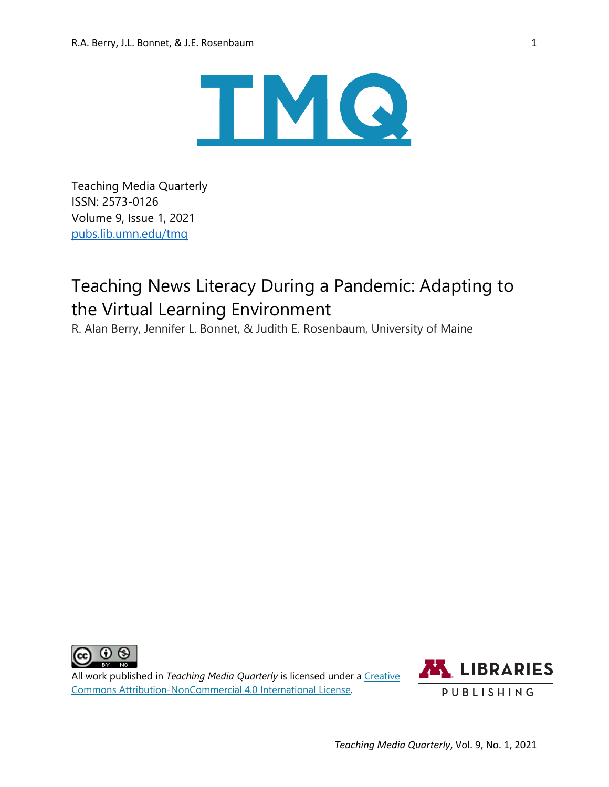

Teaching Media Quarterly ISSN: 2573-0126 Volume 9, Issue 1, 2021 [pubs.lib.umn.edu/tmq](https://pubs.lib.umn.edu/index.php/tmq)

# Teaching News Literacy During a Pandemic: Adapting to the Virtual Learning Environment

R. Alan Berry, Jennifer L. Bonnet, & Judith E. Rosenbaum, University of Maine



All work published in *Teaching Media Quarterly* is licensed under a [Creative](http://creativecommons.org/licenses/by-nc/4.0/)  [Commons Attribution-NonCommercial 4.0 International License.](http://creativecommons.org/licenses/by-nc/4.0/)

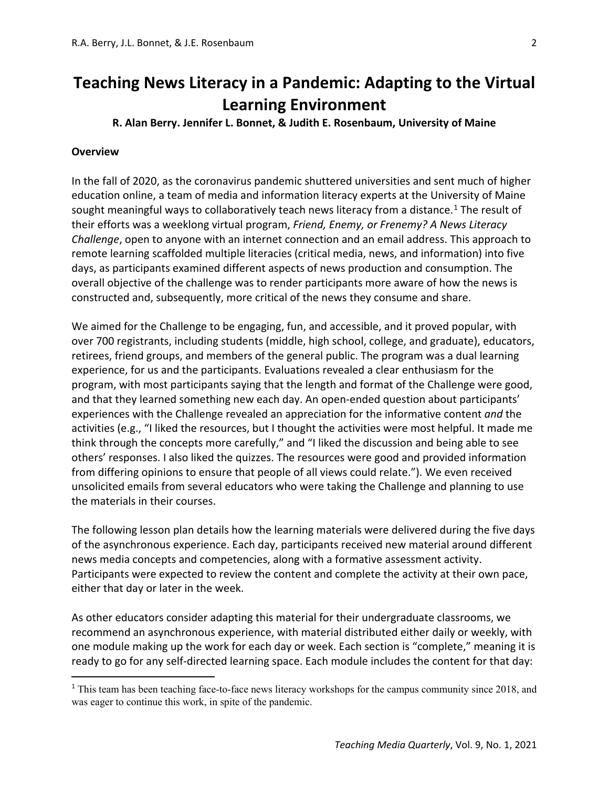## **R. Alan Berry. Jennifer L. Bonnet, & Judith E. Rosenbaum, University of Maine**

#### **Overview**

In the fall of 2020, as the coronavirus pandemic shuttered universities and sent much of higher education online, a team of media and information literacy experts at the University of Maine sought meaningful ways to collaboratively teach news literacy from a distance.<sup>[1](#page-1-0)</sup> The result of their efforts was a weeklong virtual program, *Friend, Enemy, or Frenemy? A News Literacy Challenge*, open to anyone with an internet connection and an email address. This approach to remote learning scaffolded multiple literacies (critical media, news, and information) into five days, as participants examined different aspects of news production and consumption. The overall objective of the challenge was to render participants more aware of how the news is constructed and, subsequently, more critical of the news they consume and share.

We aimed for the Challenge to be engaging, fun, and accessible, and it proved popular, with over 700 registrants, including students (middle, high school, college, and graduate), educators, retirees, friend groups, and members of the general public. The program was a dual learning experience, for us and the participants. Evaluations revealed a clear enthusiasm for the program, with most participants saying that the length and format of the Challenge were good, and that they learned something new each day. An open-ended question about participants' experiences with the Challenge revealed an appreciation for the informative content *and* the activities (e.g., "I liked the resources, but I thought the activities were most helpful. It made me think through the concepts more carefully," and "I liked the discussion and being able to see others' responses. I also liked the quizzes. The resources were good and provided information from differing opinions to ensure that people of all views could relate."). We even received unsolicited emails from several educators who were taking the Challenge and planning to use the materials in their courses.

The following lesson plan details how the learning materials were delivered during the five days of the asynchronous experience. Each day, participants received new material around different news media concepts and competencies, along with a formative assessment activity. Participants were expected to review the content and complete the activity at their own pace, either that day or later in the week.

As other educators consider adapting this material for their undergraduate classrooms, we recommend an asynchronous experience, with material distributed either daily or weekly, with one module making up the work for each day or week. Each section is "complete," meaning it is ready to go for any self-directed learning space. Each module includes the content for that day:

<span id="page-1-0"></span><sup>&</sup>lt;sup>1</sup> This team has been teaching face-to-face news literacy workshops for the campus community since 2018, and was eager to continue this work, in spite of the pandemic.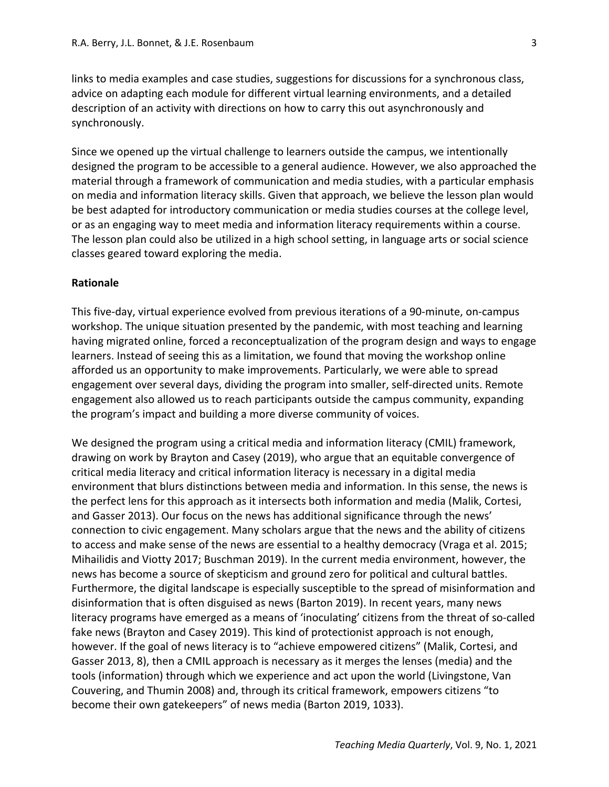links to media examples and case studies, suggestions for discussions for a synchronous class, advice on adapting each module for different virtual learning environments, and a detailed description of an activity with directions on how to carry this out asynchronously and synchronously.

Since we opened up the virtual challenge to learners outside the campus, we intentionally designed the program to be accessible to a general audience. However, we also approached the material through a framework of communication and media studies, with a particular emphasis on media and information literacy skills. Given that approach, we believe the lesson plan would be best adapted for introductory communication or media studies courses at the college level, or as an engaging way to meet media and information literacy requirements within a course. The lesson plan could also be utilized in a high school setting, in language arts or social science classes geared toward exploring the media.

#### **Rationale**

This five-day, virtual experience evolved from previous iterations of a 90-minute, on-campus workshop. The unique situation presented by the pandemic, with most teaching and learning having migrated online, forced a reconceptualization of the program design and ways to engage learners. Instead of seeing this as a limitation, we found that moving the workshop online afforded us an opportunity to make improvements. Particularly, we were able to spread engagement over several days, dividing the program into smaller, self-directed units. Remote engagement also allowed us to reach participants outside the campus community, expanding the program's impact and building a more diverse community of voices.

We designed the program using a critical media and information literacy (CMIL) framework, drawing on work by Brayton and Casey (2019), who argue that an equitable convergence of critical media literacy and critical information literacy is necessary in a digital media environment that blurs distinctions between media and information. In this sense, the news is the perfect lens for this approach as it intersects both information and media (Malik, Cortesi, and Gasser 2013). Our focus on the news has additional significance through the news' connection to civic engagement. Many scholars argue that the news and the ability of citizens to access and make sense of the news are essential to a healthy democracy (Vraga et al. 2015; Mihailidis and Viotty 2017; Buschman 2019). In the current media environment, however, the news has become a source of skepticism and ground zero for political and cultural battles. Furthermore, the digital landscape is especially susceptible to the spread of misinformation and disinformation that is often disguised as news (Barton 2019). In recent years, many news literacy programs have emerged as a means of 'inoculating' citizens from the threat of so-called fake news (Brayton and Casey 2019). This kind of protectionist approach is not enough, however. If the goal of news literacy is to "achieve empowered citizens" (Malik, Cortesi, and Gasser 2013, 8), then a CMIL approach is necessary as it merges the lenses (media) and the tools (information) through which we experience and act upon the world (Livingstone, Van Couvering, and Thumin 2008) and, through its critical framework, empowers citizens "to become their own gatekeepers" of news media (Barton 2019, 1033).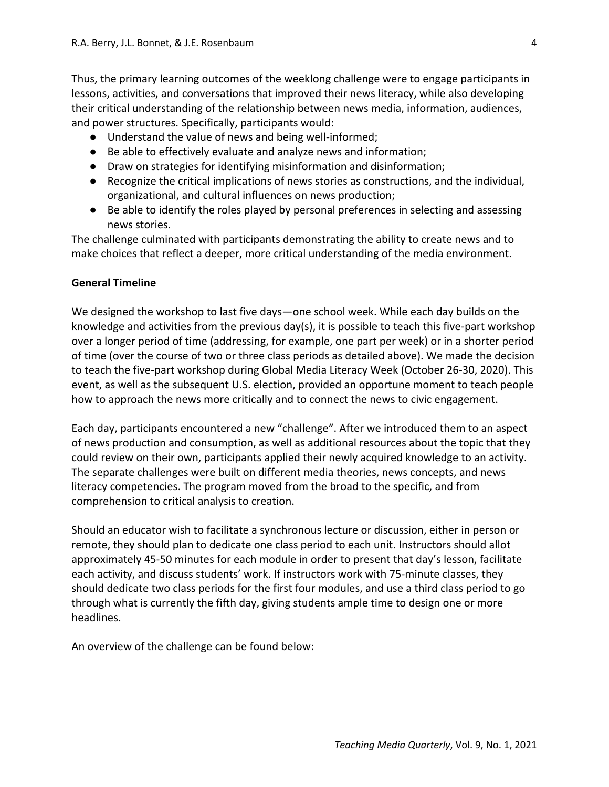Thus, the primary learning outcomes of the weeklong challenge were to engage participants in lessons, activities, and conversations that improved their news literacy, while also developing their critical understanding of the relationship between news media, information, audiences, and power structures. Specifically, participants would:

- Understand the value of news and being well-informed;
- Be able to effectively evaluate and analyze news and information;
- Draw on strategies for identifying misinformation and disinformation;
- Recognize the critical implications of news stories as constructions, and the individual, organizational, and cultural influences on news production;
- Be able to identify the roles played by personal preferences in selecting and assessing news stories.

The challenge culminated with participants demonstrating the ability to create news and to make choices that reflect a deeper, more critical understanding of the media environment.

#### **General Timeline**

We designed the workshop to last five days—one school week. While each day builds on the knowledge and activities from the previous day(s), it is possible to teach this five-part workshop over a longer period of time (addressing, for example, one part per week) or in a shorter period of time (over the course of two or three class periods as detailed above). We made the decision to teach the five-part workshop during Global Media Literacy Week (October 26-30, 2020). This event, as well as the subsequent U.S. election, provided an opportune moment to teach people how to approach the news more critically and to connect the news to civic engagement.

Each day, participants encountered a new "challenge". After we introduced them to an aspect of news production and consumption, as well as additional resources about the topic that they could review on their own, participants applied their newly acquired knowledge to an activity. The separate challenges were built on different media theories, news concepts, and news literacy competencies. The program moved from the broad to the specific, and from comprehension to critical analysis to creation.

Should an educator wish to facilitate a synchronous lecture or discussion, either in person or remote, they should plan to dedicate one class period to each unit. Instructors should allot approximately 45-50 minutes for each module in order to present that day's lesson, facilitate each activity, and discuss students' work. If instructors work with 75-minute classes, they should dedicate two class periods for the first four modules, and use a third class period to go through what is currently the fifth day, giving students ample time to design one or more headlines.

An overview of the challenge can be found below: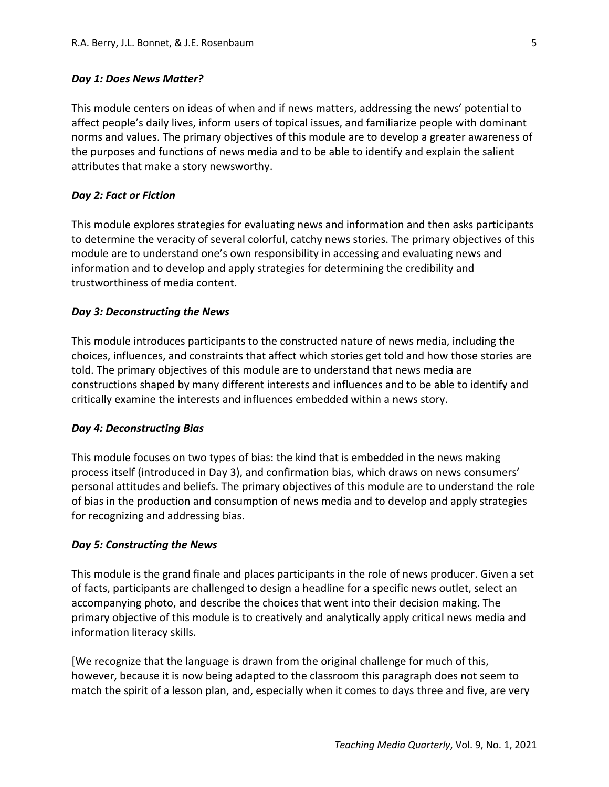#### *Day 1: Does News Matter?*

This module centers on ideas of when and if news matters, addressing the news' potential to affect people's daily lives, inform users of topical issues, and familiarize people with dominant norms and values. The primary objectives of this module are to develop a greater awareness of the purposes and functions of news media and to be able to identify and explain the salient attributes that make a story newsworthy.

#### *Day 2: Fact or Fiction*

This module explores strategies for evaluating news and information and then asks participants to determine the veracity of several colorful, catchy news stories. The primary objectives of this module are to understand one's own responsibility in accessing and evaluating news and information and to develop and apply strategies for determining the credibility and trustworthiness of media content.

#### *Day 3: Deconstructing the News*

This module introduces participants to the constructed nature of news media, including the choices, influences, and constraints that affect which stories get told and how those stories are told. The primary objectives of this module are to understand that news media are constructions shaped by many different interests and influences and to be able to identify and critically examine the interests and influences embedded within a news story.

#### *Day 4: Deconstructing Bias*

This module focuses on two types of bias: the kind that is embedded in the news making process itself (introduced in Day 3), and confirmation bias, which draws on news consumers' personal attitudes and beliefs. The primary objectives of this module are to understand the role of bias in the production and consumption of news media and to develop and apply strategies for recognizing and addressing bias.

#### *Day 5: Constructing the News*

This module is the grand finale and places participants in the role of news producer. Given a set of facts, participants are challenged to design a headline for a specific news outlet, select an accompanying photo, and describe the choices that went into their decision making. The primary objective of this module is to creatively and analytically apply critical news media and information literacy skills.

[We recognize that the language is drawn from the original challenge for much of this, however, because it is now being adapted to the classroom this paragraph does not seem to match the spirit of a lesson plan, and, especially when it comes to days three and five, are very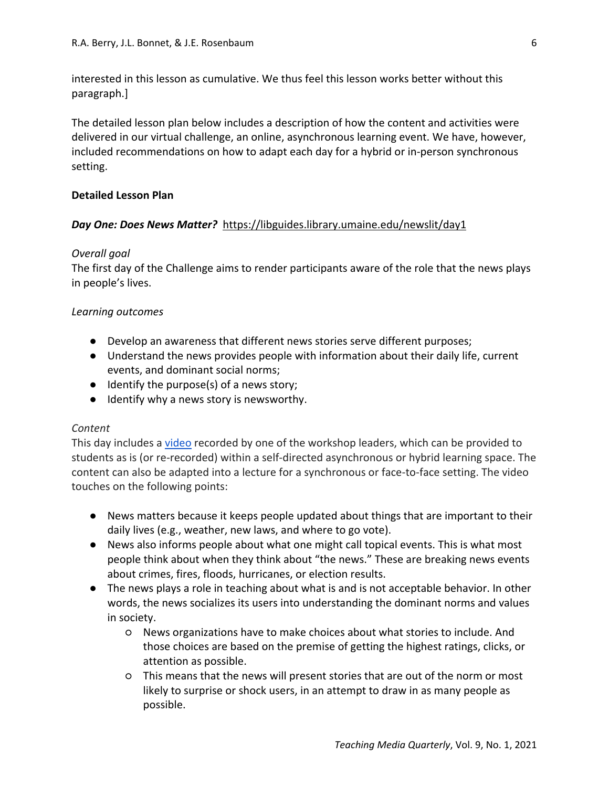interested in this lesson as cumulative. We thus feel this lesson works better without this paragraph.]

The detailed lesson plan below includes a description of how the content and activities were delivered in our virtual challenge, an online, asynchronous learning event. We have, however, included recommendations on how to adapt each day for a hybrid or in-person synchronous setting.

#### **Detailed Lesson Plan**

## *Day One: Does News Matter?* <https://libguides.library.umaine.edu/newslit/day1>

#### *Overall goal*

The first day of the Challenge aims to render participants aware of the role that the news plays in people's lives.

## *Learning outcomes*

- Develop an awareness that different news stories serve different purposes;
- Understand the news provides people with information about their daily life, current events, and dominant social norms;
- Identify the purpose(s) of a news story;
- Identify why a news story is newsworthy.

#### *Content*

This day includes a [video](https://www.youtube.com/watch?v=uud7O0RCaKU) recorded by one of the workshop leaders, which can be provided to students as is (or re-recorded) within a self-directed asynchronous or hybrid learning space. The content can also be adapted into a lecture for a synchronous or face-to-face setting. The video touches on the following points:

- News matters because it keeps people updated about things that are important to their daily lives (e.g., weather, new laws, and where to go vote).
- News also informs people about what one might call topical events. This is what most people think about when they think about "the news." These are breaking news events about crimes, fires, floods, hurricanes, or election results.
- The news plays a role in teaching about what is and is not acceptable behavior. In other words, the news socializes its users into understanding the dominant norms and values in society.
	- News organizations have to make choices about what stories to include. And those choices are based on the premise of getting the highest ratings, clicks, or attention as possible.
	- This means that the news will present stories that are out of the norm or most likely to surprise or shock users, in an attempt to draw in as many people as possible.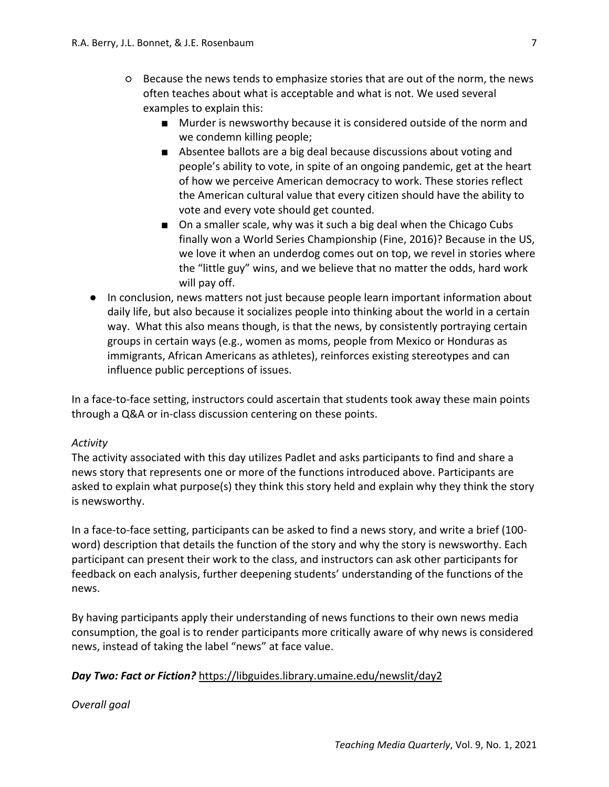- Because the news tends to emphasize stories that are out of the norm, the news often teaches about what is acceptable and what is not. We used several examples to explain this:
	- Murder is newsworthy because it is considered outside of the norm and we condemn killing people;
	- Absentee ballots are a big deal because discussions about voting and people's ability to vote, in spite of an ongoing pandemic, get at the heart of how we perceive American democracy to work. These stories reflect the American cultural value that every citizen should have the ability to vote and every vote should get counted.
	- On a smaller scale, why was it such a big deal when the Chicago Cubs finally won a World Series Championship (Fine, 2016)? Because in the US, we love it when an underdog comes out on top, we revel in stories where the "little guy" wins, and we believe that no matter the odds, hard work will pay off.
- In conclusion, news matters not just because people learn important information about daily life, but also because it socializes people into thinking about the world in a certain way. What this also means though, is that the news, by consistently portraying certain groups in certain ways (e.g., women as moms, people from Mexico or Honduras as immigrants, African Americans as athletes), reinforces existing stereotypes and can influence public perceptions of issues.

In a face-to-face setting, instructors could ascertain that students took away these main points through a Q&A or in-class discussion centering on these points.

## *Activity*

The activity associated with this day utilizes Padlet and asks participants to find and share a news story that represents one or more of the functions introduced above. Participants are asked to explain what purpose(s) they think this story held and explain why they think the story is newsworthy.

In a face-to-face setting, participants can be asked to find a news story, and write a brief (100 word) description that details the function of the story and why the story is newsworthy. Each participant can present their work to the class, and instructors can ask other participants for feedback on each analysis, further deepening students' understanding of the functions of the news.

By having participants apply their understanding of news functions to their own news media consumption, the goal is to render participants more critically aware of why news is considered news, instead of taking the label "news" at face value.

## *Day Two: Fact or Fiction?* https://libguides.library.umaine.edu/newslit/day2

*Overall goal*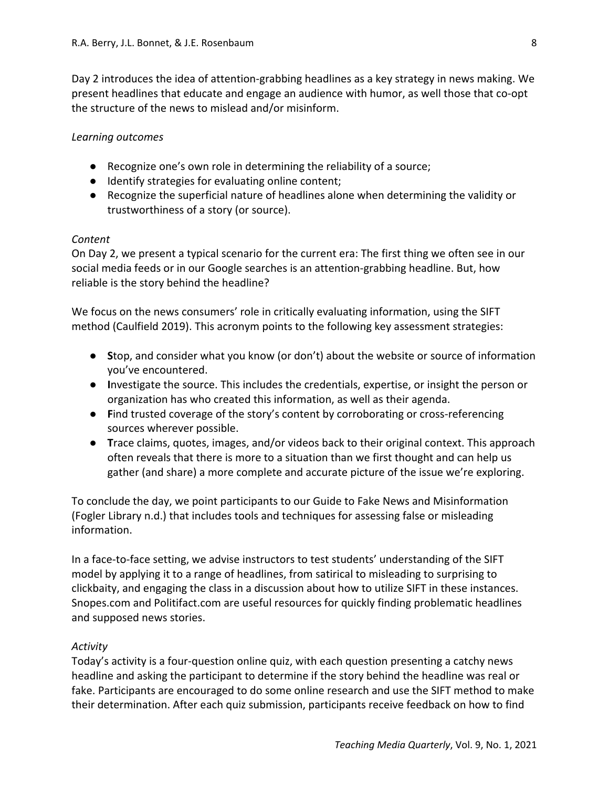Day 2 introduces the idea of attention-grabbing headlines as a key strategy in news making. We present headlines that educate and engage an audience with humor, as well those that co-opt the structure of the news to mislead and/or misinform.

## *Learning outcomes*

- Recognize one's own role in determining the reliability of a source;
- Identify strategies for evaluating online content;
- Recognize the superficial nature of headlines alone when determining the validity or trustworthiness of a story (or source).

## *Content*

On Day 2, we present a typical scenario for the current era: The first thing we often see in our social media feeds or in our Google searches is an attention-grabbing headline. But, how reliable is the story behind the headline?

We focus on the news consumers' role in critically evaluating information, using the SIFT method (Caulfield 2019). This acronym points to the following key assessment strategies:

- **S**top, and consider what you know (or don't) about the website or source of information you've encountered.
- **I**nvestigate the source. This includes the credentials, expertise, or insight the person or organization has who created this information, as well as their agenda.
- **Find trusted coverage of the story's content by corroborating or cross-referencing** sources wherever possible.
- **T**race claims, quotes, images, and/or videos back to their original context. This approach often reveals that there is more to a situation than we first thought and can help us gather (and share) a more complete and accurate picture of the issue we're exploring.

To conclude the day, we point participants to our Guide to Fake News and Misinformation (Fogler Library n.d.) that includes tools and techniques for assessing false or misleading information.

In a face-to-face setting, we advise instructors to test students' understanding of the SIFT model by applying it to a range of headlines, from satirical to misleading to surprising to clickbaity, and engaging the class in a discussion about how to utilize SIFT in these instances. Snopes.com and Politifact.com are useful resources for quickly finding problematic headlines and supposed news stories.

## *Activity*

Today's activity is a four-question online quiz, with each question presenting a catchy news headline and asking the participant to determine if the story behind the headline was real or fake. Participants are encouraged to do some online research and use the SIFT method to make their determination. After each quiz submission, participants receive feedback on how to find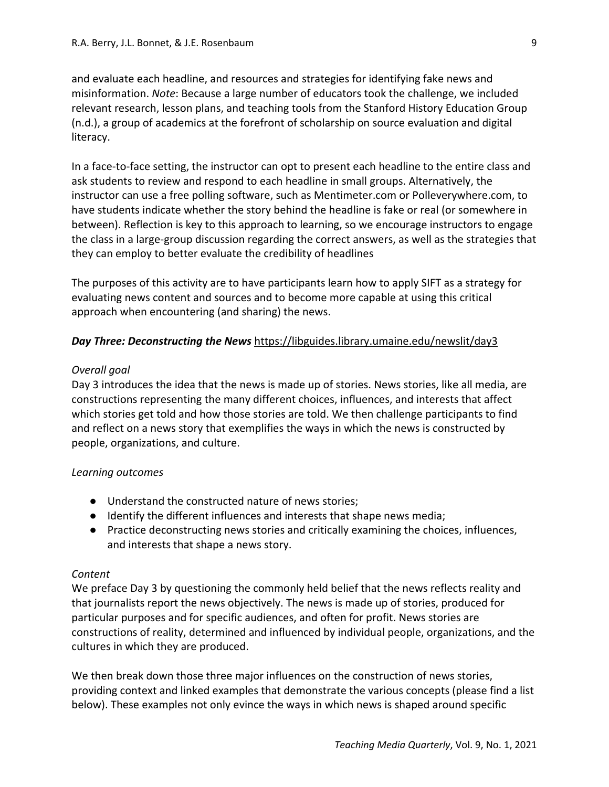and evaluate each headline, and resources and strategies for identifying fake news and misinformation. *Note*: Because a large number of educators took the challenge, we included relevant research, lesson plans, and teaching tools from the Stanford History Education Group (n.d.), a group of academics at the forefront of scholarship on source evaluation and digital literacy.

In a face-to-face setting, the instructor can opt to present each headline to the entire class and ask students to review and respond to each headline in small groups. Alternatively, the instructor can use a free polling software, such as Mentimeter.com or Polleverywhere.com, to have students indicate whether the story behind the headline is fake or real (or somewhere in between). Reflection is key to this approach to learning, so we encourage instructors to engage the class in a large-group discussion regarding the correct answers, as well as the strategies that they can employ to better evaluate the credibility of headlines

The purposes of this activity are to have participants learn how to apply SIFT as a strategy for evaluating news content and sources and to become more capable at using this critical approach when encountering (and sharing) the news.

## *Day Three: Deconstructing the News* https://libguides.library.umaine.edu/newslit/day3

#### *Overall goal*

Day 3 introduces the idea that the news is made up of stories. News stories, like all media, are constructions representing the many different choices, influences, and interests that affect which stories get told and how those stories are told. We then challenge participants to find and reflect on a news story that exemplifies the ways in which the news is constructed by people, organizations, and culture.

## *Learning outcomes*

- Understand the constructed nature of news stories;
- Identify the different influences and interests that shape news media;
- Practice deconstructing news stories and critically examining the choices, influences, and interests that shape a news story.

#### *Content*

We preface Day 3 by questioning the commonly held belief that the news reflects reality and that journalists report the news objectively. The news is made up of stories, produced for particular purposes and for specific audiences, and often for profit. News stories are constructions of reality, determined and influenced by individual people, organizations, and the cultures in which they are produced.

We then break down those three major influences on the construction of news stories, providing context and linked examples that demonstrate the various concepts (please find a list below). These examples not only evince the ways in which news is shaped around specific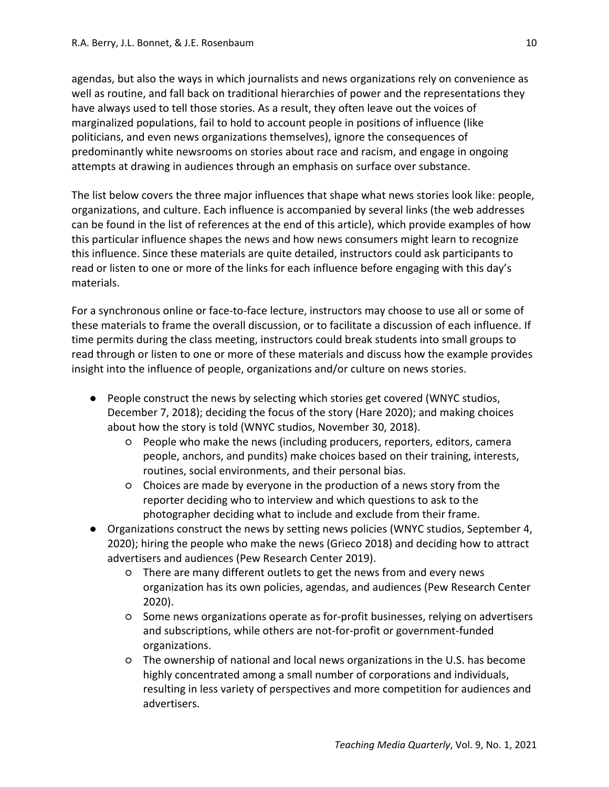agendas, but also the ways in which journalists and news organizations rely on convenience as well as routine, and fall back on traditional hierarchies of power and the representations they have always used to tell those stories. As a result, they often leave out the voices of marginalized populations, fail to hold to account people in positions of influence (like politicians, and even news organizations themselves), ignore the consequences of predominantly white newsrooms on stories about race and racism, and engage in ongoing attempts at drawing in audiences through an emphasis on surface over substance.

The list below covers the three major influences that shape what news stories look like: people, organizations, and culture. Each influence is accompanied by several links (the web addresses can be found in the list of references at the end of this article), which provide examples of how this particular influence shapes the news and how news consumers might learn to recognize this influence. Since these materials are quite detailed, instructors could ask participants to read or listen to one or more of the links for each influence before engaging with this day's materials.

For a synchronous online or face-to-face lecture, instructors may choose to use all or some of these materials to frame the overall discussion, or to facilitate a discussion of each influence. If time permits during the class meeting, instructors could break students into small groups to read through or listen to one or more of these materials and discuss how the example provides insight into the influence of people, organizations and/or culture on news stories.

- People construct the news by selecting which stories get covered (WNYC studios, December 7, 2018); deciding the focus of the story (Hare 2020); and making choices about how the story is told (WNYC studios, November 30, 2018).
	- People who make the news (including producers, reporters, editors, camera people, anchors, and pundits) make choices based on their training, interests, routines, social environments, and their personal bias.
	- Choices are made by everyone in the production of a news story from the reporter deciding who to interview and which questions to ask to the photographer deciding what to include and exclude from their frame.
- Organizations construct the news by setting news policies (WNYC studios, September 4, 2020); hiring the people who make the news (Grieco 2018) [and d](https://www.journalism.org/fact-sheet/network-news/)eciding how to attract advertisers and audienc[es](https://www.journalism.org/fact-sheet/network-news/) (Pew Research Center 2019).
	- There are many different outlets to get the news from and every news organization has its own policies, agendas, and audiences (Pew Research Center 2020).
	- Some news organizations operate as for-profit businesses, relying on advertisers and subscriptions, while others are not-for-profit or government-funded organizations.
	- The ownership of national and local news organizations in the U.S. has become highly concentrated among a small number of corporations and individuals, resulting in less variety of perspectives and more competition for audiences and advertisers.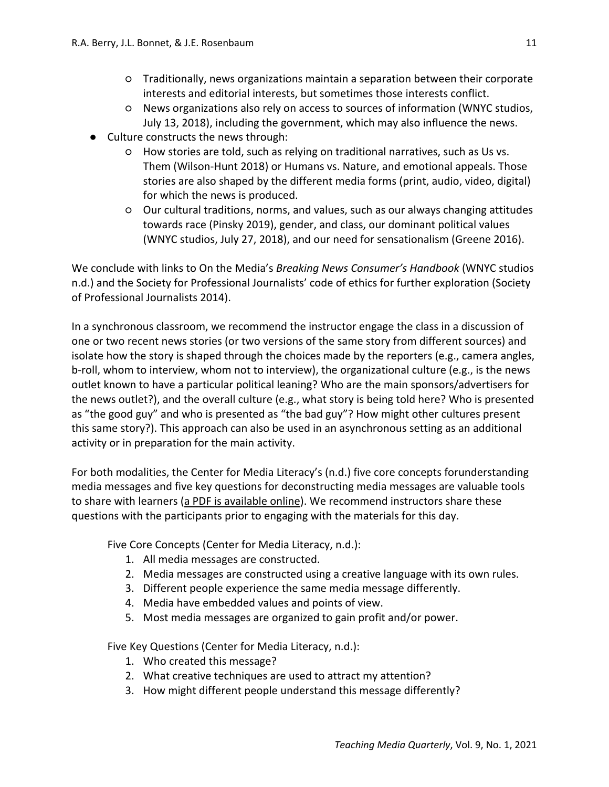- Traditionally, news organizations maintain a separation between their corporate interests and editorial interests, but sometimes those interests conflict.
- News organizations also rely on access to sources of information (WNYC studios, July 13, 2018), including the government, which may also influence the news.
- Culture constructs the news through:
	- How stories are told, such as relying on traditional narratives, such as Us vs. Them (Wilson-Hunt 2018) or Humans vs. Nature, and emotional appeals. Those stories are also shaped by the different media forms (print, audio, video, digital) for which the news is produced.
	- Our cultural traditions, norms, and values, such as our always changing attitudes towards race (Pinsky 2019), gender, and class, our dominant political values (WNYC studios, July 27, 2018), and our need for sensationalism (Greene 2016).

We conclude with links to On the Media's *Breaking News Consumer's Handbook* (WNYC studios n.d.) and the Society for Professional Journalists' code of ethics for further exploration (Society of Professional Journalists 2014).

In a synchronous classroom, we recommend the instructor engage the class in a discussion of one or two recent news stories (or two versions of the same story from different sources) and isolate how the story is shaped through the choices made by the reporters (e.g., camera angles, b-roll, whom to interview, whom not to interview), the organizational culture (e.g., is the news outlet known to have a particular political leaning? Who are the main sponsors/advertisers for the news outlet?), and the overall culture (e.g., what story is being told here? Who is presented as "the good guy" and who is presented as "the bad guy"? How might other cultures present this same story?). This approach can also be used in an asynchronous setting as an additional activity or in preparation for the main activity.

For both modalities, the Center for Media Literacy's (n.d.) five core concepts forunderstanding media messages and five key questions for deconstructing media messages are valuable tools to share with learners [\(a PDF is available online\)](http://www.medialit.org/sites/default/files/14A_CCKQposter.pdf). We recommend instructors share these questions with the participants prior to engaging with the materials for this day.

Five Core Concepts (Center for Media Literacy, n.d.):

- 1. All media messages are constructed.
- 2. Media messages are constructed using a creative language with its own rules.
- 3. Different people experience the same media message differently.
- 4. Media have embedded values and points of view.
- 5. Most media messages are organized to gain profit and/or power.

Five Key Questions (Center for Media Literacy, n.d.):

- 1. Who created this message?
- 2. What creative techniques are used to attract my attention?
- 3. How might different people understand this message differently?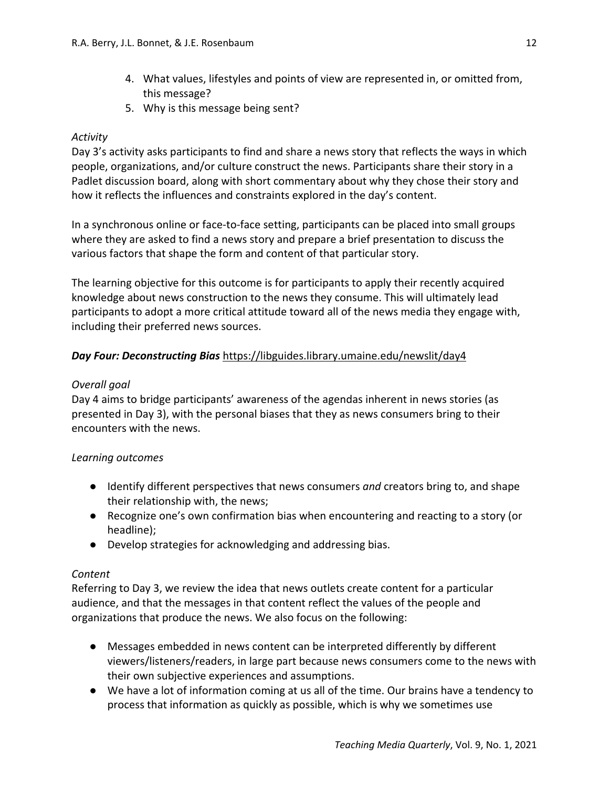- 4. What values, lifestyles and points of view are represented in, or omitted from, this message?
- 5. Why is this message being sent?

## *Activity*

Day 3's activity asks participants to find and share a news story that reflects the ways in which people, organizations, and/or culture construct the news. Participants share their story in a Padlet discussion board, along with short commentary about why they chose their story and how it reflects the influences and constraints explored in the day's content.

In a synchronous online or face-to-face setting, participants can be placed into small groups where they are asked to find a news story and prepare a brief presentation to discuss the various factors that shape the form and content of that particular story.

The learning objective for this outcome is for participants to apply their recently acquired knowledge about news construction to the news they consume. This will ultimately lead participants to adopt a more critical attitude toward all of the news media they engage with, including their preferred news sources.

## *Day Four: Deconstructing Bias* https://libguides.library.umaine.edu/newslit/day4

## *Overall goal*

Day 4 aims to bridge participants' awareness of the agendas inherent in news stories (as presented in Day 3), with the personal biases that they as news consumers bring to their encounters with the news.

#### *Learning outcomes*

- Identify different perspectives that news consumers *and* creators bring to, and shape their relationship with, the news;
- Recognize one's own confirmation bias when encountering and reacting to a story (or headline);
- Develop strategies for acknowledging and addressing bias.

#### *Content*

Referring to Day 3, we review the idea that news outlets create content for a particular audience, and that the messages in that content reflect the values of the people and organizations that produce the news. We also focus on the following:

- Messages embedded in news content can be interpreted differently by different viewers/listeners/readers, in large part because news consumers come to the news with their own subjective experiences and assumptions.
- We have a lot of information coming at us all of the time. Our brains have a tendency to process that information as quickly as possible, which is why we sometimes use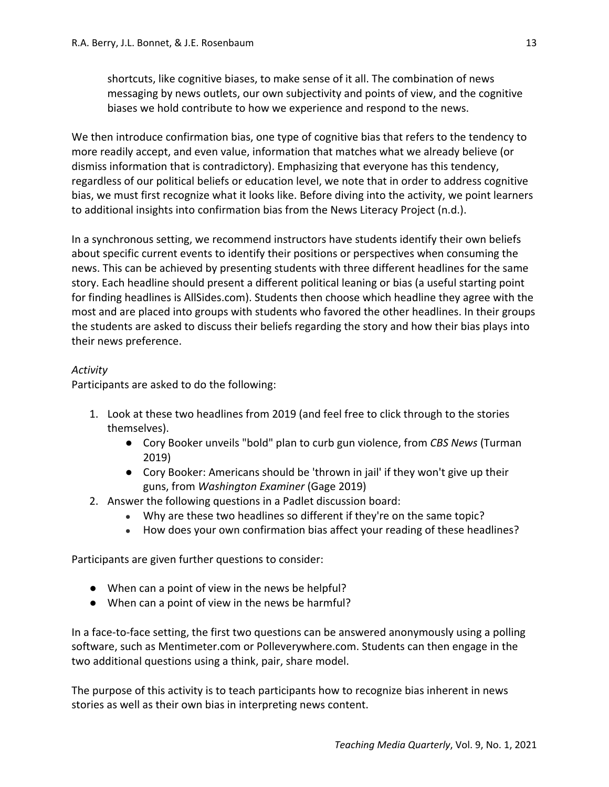shortcuts, like cognitive biases, to make sense of it all. The combination of news messaging by news outlets, our own subjectivity and points of view, and the cognitive biases we hold contribute to how we experience and respond to the news.

We then introduce confirmation bias, one type of cognitive bias that refers to the tendency to more readily accept, and even value, information that matches what we already believe (or dismiss information that is contradictory). Emphasizing that everyone has this tendency, regardless of our political beliefs or education level, we note that in order to address cognitive bias, we must first recognize what it looks like. Before diving into the activity, we point learners to additional insights into confirmation bias from the News Literacy Project (n.d.).

In a synchronous setting, we recommend instructors have students identify their own beliefs about specific current events to identify their positions or perspectives when consuming the news. This can be achieved by presenting students with three different headlines for the same story. Each headline should present a different political leaning or bias (a useful starting point for finding headlines is AllSides.com). Students then choose which headline they agree with the most and are placed into groups with students who favored the other headlines. In their groups the students are asked to discuss their beliefs regarding the story and how their bias plays into their news preference.

## *Activity*

Participants are asked to do the following:

- 1. Look at these two headlines from 2019 (and feel free to click through to the stories themselves).
	- Cory Booker unveils "bold" plan to curb gun violence, from *CBS News* (Turman 2019)
	- Cory Booker: Americans should be 'thrown in jail' if they won't give up their guns, from *Washington Examiner* (Gage 2019)
- 2. Answer the following questions in a Padlet discussion board:
	- Why are these two headlines so different if they're on the same topic?
	- How does your own confirmation bias affect your reading of these headlines?

Participants are given further questions to consider:

- When can a point of view in the news be helpful?
- When can a point of view in the news be harmful?

In a face-to-face setting, the first two questions can be answered anonymously using a polling software, such as Mentimeter.com or Polleverywhere.com. Students can then engage in the two additional questions using a think, pair, share model.

The purpose of this activity is to teach participants how to recognize bias inherent in news stories as well as their own bias in interpreting news content.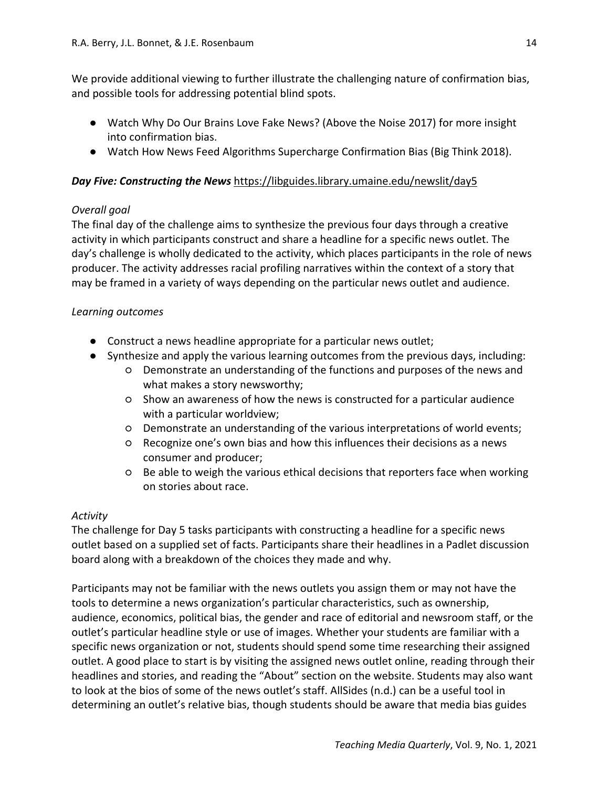We provide additional viewing to further illustrate the challenging nature of confirmation bias, and possible tools for addressing potential blind spots.

- Watch Why Do Our Brains Love Fake News? (Above the Noise 2017) for more insight into confirmation bias.
- Watch How News Feed Algorithms Supercharge Confirmation Bias (Big Think 2018).

# *Day Five: Constructing the News* https://libguides.library.umaine.edu/newslit/day5

# *Overall goal*

The final day of the challenge aims to synthesize the previous four days through a creative activity in which participants construct and share a headline for a specific news outlet. The day's challenge is wholly dedicated to the activity, which places participants in the role of news producer. The activity addresses racial profiling narratives within the context of a story that may be framed in a variety of ways depending on the particular news outlet and audience.

## *Learning outcomes*

- Construct a news headline appropriate for a particular news outlet;
- Synthesize and apply the various learning outcomes from the previous days, including:
	- Demonstrate an understanding of the functions and purposes of the news and what makes a story newsworthy;
	- Show an awareness of how the news is constructed for a particular audience with a particular worldview;
	- Demonstrate an understanding of the various interpretations of world events;
	- Recognize one's own bias and how this influences their decisions as a news consumer and producer;
	- Be able to weigh the various ethical decisions that reporters face when working on stories about race.

# *Activity*

The challenge for Day 5 tasks participants with constructing a headline for a specific news outlet based on a supplied set of facts. Participants share their headlines in a Padlet discussion board along with a breakdown of the choices they made and why.

Participants may not be familiar with the news outlets you assign them or may not have the tools to determine a news organization's particular characteristics, such as ownership, audience, economics, political bias, the gender and race of editorial and newsroom staff, or the outlet's particular headline style or use of images. Whether your students are familiar with a specific news organization or not, students should spend some time researching their assigned outlet. A good place to start is by visiting the assigned news outlet online, reading through their headlines and stories, and reading the "About" section on the website. Students may also want to look at the bios of some of the news outlet's staff. AllSides (n.d.) can be a useful tool in determining an outlet's relative bias, though students should be aware that media bias guides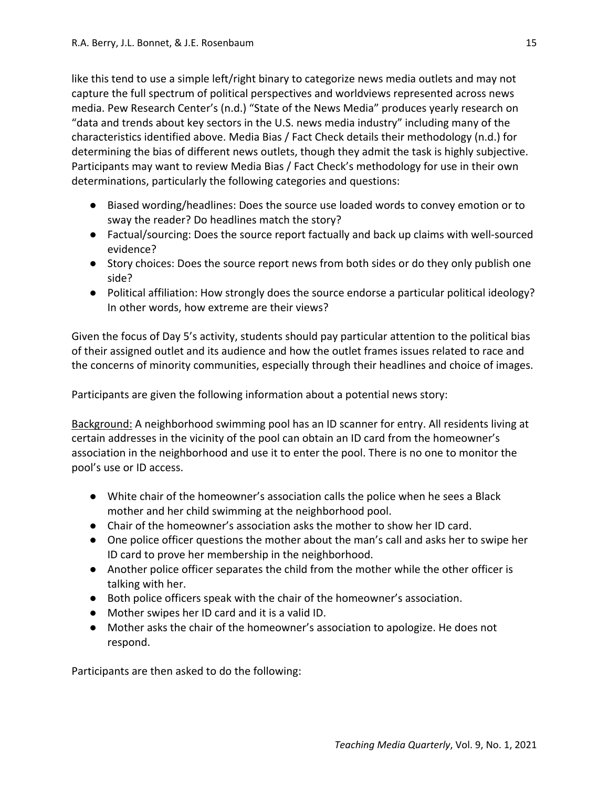like this tend to use a simple left/right binary to categorize news media outlets and may not capture the full spectrum of political perspectives and worldviews represented across news media. Pew Research Center's (n.d.) "State of the News Media" produces yearly research on "data and trends about key sectors in the U.S. news media industry" including many of the characteristics identified above. Media Bias / Fact Check details their methodology (n.d.) for determining the bias of different news outlets, though they admit the task is highly subjective. Participants may want to review Media Bias / Fact Check's methodology for use in their own determinations, particularly the following categories and questions:

- Biased wording/headlines: Does the source use loaded words to convey emotion or to sway the reader? Do headlines match the story?
- Factual/sourcing: Does the source report factually and back up claims with well-sourced evidence?
- Story choices: Does the source report news from both sides or do they only publish one side?
- Political affiliation: How strongly does the source endorse a particular political ideology? In other words, how extreme are their views?

Given the focus of Day 5's activity, students should pay particular attention to the political bias of their assigned outlet and its audience and how the outlet frames issues related to race and the concerns of minority communities, especially through their headlines and choice of images.

Participants are given the following information about a potential news story:

Background: A neighborhood swimming pool has an ID scanner for entry. All residents living at certain addresses in the vicinity of the pool can obtain an ID card from the homeowner's association in the neighborhood and use it to enter the pool. There is no one to monitor the pool's use or ID access.

- White chair of the homeowner's association calls the police when he sees a Black mother and her child swimming at the neighborhood pool.
- Chair of the homeowner's association asks the mother to show her ID card.
- One police officer questions the mother about the man's call and asks her to swipe her ID card to prove her membership in the neighborhood.
- Another police officer separates the child from the mother while the other officer is talking with her.
- Both police officers speak with the chair of the homeowner's association.
- Mother swipes her ID card and it is a valid ID.
- Mother asks the chair of the homeowner's association to apologize. He does not respond.

Participants are then asked to do the following: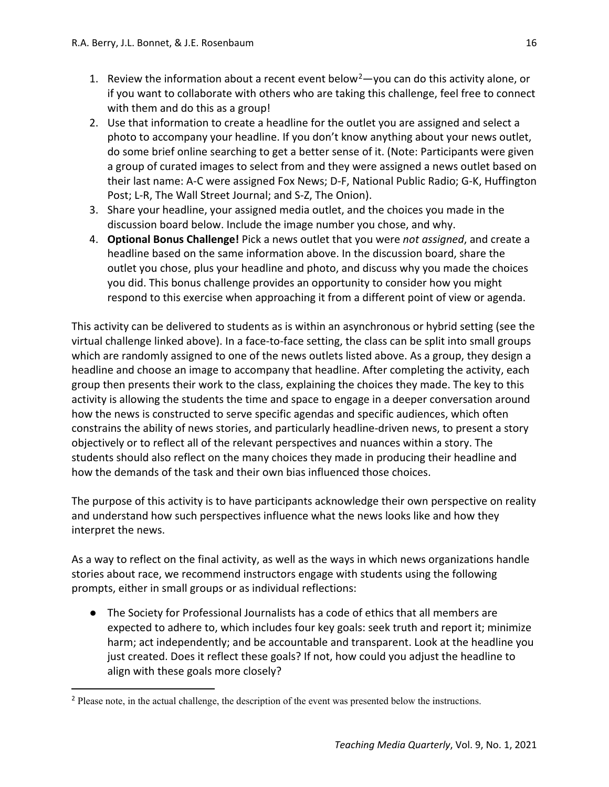- 1. Review the information about a recent event below<sup>[2](#page-15-0)</sup> $-$ you can do this activity alone, or if you want to collaborate with others who are taking this challenge, feel free to connect with them and do this as a group!
- 2. Use that information to create a headline for the outlet you are assigned and select a photo to accompany your headline. If you don't know anything about your news outlet, do some brief online searching to get a better sense of it. (Note: Participants were given a group of curated images to select from and they were assigned a news outlet based on their last name: A-C were assigned Fox News; D-F, National Public Radio; G-K, Huffington Post; L-R, The Wall Street Journal; and S-Z, The Onion).
- 3. Share your headline, your assigned media outlet, and the choices you made in the discussion board below. Include the image number you chose, and why.
- 4. **Optional Bonus Challenge!** Pick a news outlet that you were *not assigned*, and create a headline based on the same information above. In the discussion board, share the outlet you chose, plus your headline and photo, and discuss why you made the choices you did. This bonus challenge provides an opportunity to consider how you might respond to this exercise when approaching it from a different point of view or agenda.

This activity can be delivered to students as is within an asynchronous or hybrid setting (see the virtual challenge linked above). In a face-to-face setting, the class can be split into small groups which are randomly assigned to one of the news outlets listed above. As a group, they design a headline and choose an image to accompany that headline. After completing the activity, each group then presents their work to the class, explaining the choices they made. The key to this activity is allowing the students the time and space to engage in a deeper conversation around how the news is constructed to serve specific agendas and specific audiences, which often constrains the ability of news stories, and particularly headline-driven news, to present a story objectively or to reflect all of the relevant perspectives and nuances within a story. The students should also reflect on the many choices they made in producing their headline and how the demands of the task and their own bias influenced those choices.

The purpose of this activity is to have participants acknowledge their own perspective on reality and understand how such perspectives influence what the news looks like and how they interpret the news.

As a way to reflect on the final activity, as well as the ways in which news organizations handle stories about race, we recommend instructors engage with students using the following prompts, either in small groups or as individual reflections:

● The Society for Professional Journalists has a code of ethics that all members are expected to adhere to, which includes four key goals: seek truth and report it; minimize harm; act independently; and be accountable and transparent. Look at the headline you just created. Does it reflect these goals? If not, how could you adjust the headline to align with these goals more closely?

<span id="page-15-0"></span><sup>&</sup>lt;sup>2</sup> Please note, in the actual challenge, the description of the event was presented below the instructions.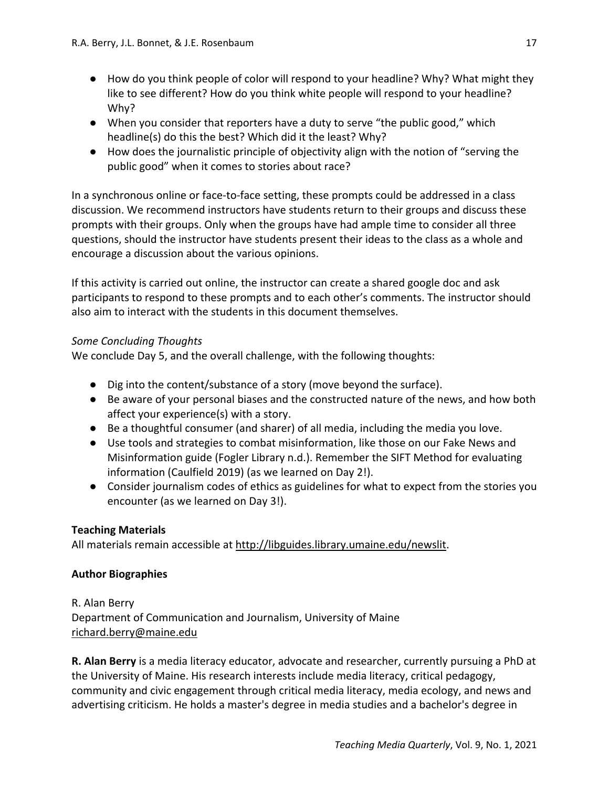- How do you think people of color will respond to your headline? Why? What might they like to see different? How do you think white people will respond to your headline? Why?
- When you consider that reporters have a duty to serve "the public good," which headline(s) do this the best? Which did it the least? Why?
- How does the journalistic principle of objectivity align with the notion of "serving the public good" when it comes to stories about race?

In a synchronous online or face-to-face setting, these prompts could be addressed in a class discussion. We recommend instructors have students return to their groups and discuss these prompts with their groups. Only when the groups have had ample time to consider all three questions, should the instructor have students present their ideas to the class as a whole and encourage a discussion about the various opinions.

If this activity is carried out online, the instructor can create a shared google doc and ask participants to respond to these prompts and to each other's comments. The instructor should also aim to interact with the students in this document themselves.

# *Some Concluding Thoughts*

We conclude Day 5, and the overall challenge, with the following thoughts:

- Dig into the content/substance of a story (move beyond the surface).
- Be aware of your personal biases and the constructed nature of the news, and how both affect your experience(s) with a story.
- Be a thoughtful consumer (and sharer) of all media, including the media you love.
- Use tools and strategies to combat misinformation, like those on our Fake News and Misinformation guide (Fogler Library n.d.). Remember the SIFT Method for evaluating information (Caulfield 2019) (as we learned on Day 2!).
- Consider journalism codes of ethics as guidelines for what to expect from the stories you encounter (as we learned on Day 3!).

# **Teaching Materials**

All materials remain accessible at [http://libguides.library.umaine.edu/newslit.](http://libguides.library.umaine.edu/newslit)

# **Author Biographies**

R. Alan Berry Department of Communication and Journalism, University of Maine [richard.berry@maine.edu](mailto:richard.berry@maine.edu)

**R. Alan Berry** is a media literacy educator, advocate and researcher, currently pursuing a PhD at the University of Maine. His research interests include media literacy, critical pedagogy, community and civic engagement through critical media literacy, media ecology, and news and advertising criticism. He holds a master's degree in media studies and a bachelor's degree in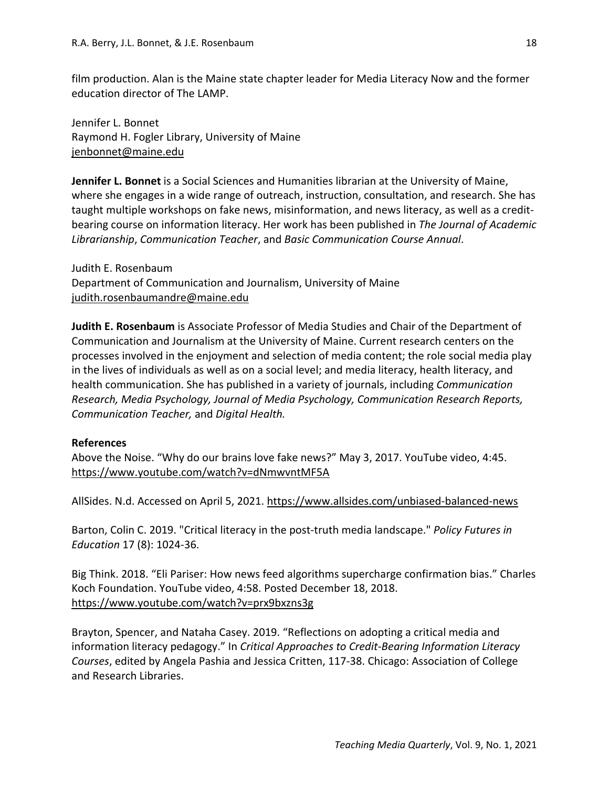film production. Alan is the Maine state chapter leader for Media Literacy Now and the former education director of The LAMP.

Jennifer L. Bonnet Raymond H. Fogler Library, University of Maine [jenbonnet@maine.edu](mailto:jenbonnet@maine.edu)

**Jennifer L. Bonnet** is a Social Sciences and Humanities librarian at the University of Maine, where she engages in a wide range of outreach, instruction, consultation, and research. She has taught multiple workshops on fake news, misinformation, and news literacy, as well as a creditbearing course on information literacy. Her work has been published in *The Journal of Academic Librarianship*, *Communication Teacher*, and *Basic Communication Course Annual*.

Judith E. Rosenbaum Department of Communication and Journalism, University of Maine [judith.rosenbaumandre@maine.edu](mailto:judith.rosenbaumandre@maine.edu)

**Judith E. Rosenbaum** is Associate Professor of Media Studies and Chair of the Department of Communication and Journalism at the University of Maine. Current research centers on the processes involved in the enjoyment and selection of media content; the role social media play in the lives of individuals as well as on a social level; and media literacy, health literacy, and health communication. She has published in a variety of journals, including *Communication Research, Media Psychology, Journal of Media Psychology, Communication Research Reports, Communication Teacher,* and *Digital Health.* 

#### **References**

Above the Noise. "Why do our brains love fake news?" May 3, 2017. YouTube video, 4:45. <https://www.youtube.com/watch?v=dNmwvntMF5A>

AllSides. N.d. Accessed on April 5, 2021.<https://www.allsides.com/unbiased-balanced-news>

Barton, Colin C. 2019. "Critical literacy in the post-truth media landscape." *Policy Futures in Education* 17 (8): 1024-36.

Big Think. 2018. "Eli Pariser: How news feed algorithms supercharge confirmation bias." Charles Koch Foundation. YouTube video, 4:58. Posted December 18, 2018. <https://www.youtube.com/watch?v=prx9bxzns3g>

Brayton, Spencer, and Nataha Casey. 2019. "Reflections on adopting a critical media and information literacy pedagogy." In *Critical Approaches to Credit-Bearing Information Literacy Courses*, edited by Angela Pashia and Jessica Critten, 117-38. Chicago: Association of College and Research Libraries.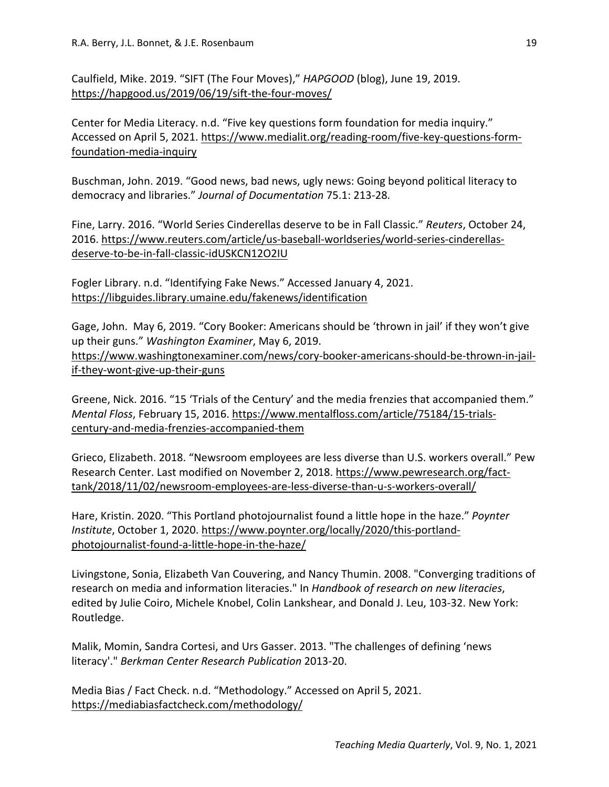Caulfield, Mike. 2019. "SIFT (The Four Moves)," *HAPGOOD* (blog), June 19, 2019. <https://hapgood.us/2019/06/19/sift-the-four-moves/>

Center for Media Literacy. n.d. "Five key questions form foundation for media inquiry." Accessed on April 5, 2021. [https://www.medialit.org/reading-room/five-key-questions-form](https://www.medialit.org/reading-room/five-key-questions-form-foundation-media-inquiry)[foundation-media-inquiry](https://www.medialit.org/reading-room/five-key-questions-form-foundation-media-inquiry)

Buschman, John. 2019. "Good news, bad news, ugly news: Going beyond political literacy to democracy and libraries." *Journal of Documentation* 75.1: 213-28.

Fine, Larry. 2016. "World Series Cinderellas deserve to be in Fall Classic." *Reuters*, October 24, 2016. [https://www.reuters.com/article/us-baseball-worldseries/world-series-cinderellas](https://www.reuters.com/article/us-baseball-worldseries/world-series-cinderellas-deserve-to-be-in-fall-classic-idUSKCN12O2IU)[deserve-to-be-in-fall-classic-idUSKCN12O2IU](https://www.reuters.com/article/us-baseball-worldseries/world-series-cinderellas-deserve-to-be-in-fall-classic-idUSKCN12O2IU)

Fogler Library. n.d. "Identifying Fake News." Accessed January 4, 2021. <https://libguides.library.umaine.edu/fakenews/identification>

Gage, John. May 6, 2019. "Cory Booker: Americans should be 'thrown in jail' if they won't give up their guns." *Washington Examiner*, May 6, 2019. [https://www.washingtonexaminer.com/news/cory-booker-americans-should-be-thrown-in-jail](https://www.washingtonexaminer.com/news/cory-booker-americans-should-be-thrown-in-jail-if-they-wont-give-up-their-guns)[if-they-wont-give-up-their-guns](https://www.washingtonexaminer.com/news/cory-booker-americans-should-be-thrown-in-jail-if-they-wont-give-up-their-guns)

Greene, Nick. 2016. "15 'Trials of the Century' and the media frenzies that accompanied them." *Mental Floss*, February 15, 2016. [https://www.mentalfloss.com/article/75184/15-trials](https://www.mentalfloss.com/article/75184/15-trials-century-and-media-frenzies-accompanied-them)[century-and-media-frenzies-accompanied-them](https://www.mentalfloss.com/article/75184/15-trials-century-and-media-frenzies-accompanied-them)

Grieco, Elizabeth. 2018. "Newsroom employees are less diverse than U.S. workers overall." Pew Research Center. Last modified on November 2, 2018. [https://www.pewresearch.org/fact](https://www.pewresearch.org/fact-tank/2018/11/02/newsroom-employees-are-less-diverse-than-u-s-workers-overall/)[tank/2018/11/02/newsroom-employees-are-less-diverse-than-u-s-workers-overall/](https://www.pewresearch.org/fact-tank/2018/11/02/newsroom-employees-are-less-diverse-than-u-s-workers-overall/)

Hare, Kristin. 2020. "This Portland photojournalist found a little hope in the haze." *Poynter Institute*, October 1, 2020. [https://www.poynter.org/locally/2020/this-portland](https://www.poynter.org/locally/2020/this-portland-photojournalist-found-a-little-hope-in-the-haze/)[photojournalist-found-a-little-hope-in-the-haze/](https://www.poynter.org/locally/2020/this-portland-photojournalist-found-a-little-hope-in-the-haze/)

Livingstone, Sonia, Elizabeth Van Couvering, and Nancy Thumin. 2008. "Converging traditions of research on media and information literacies." In *Handbook of research on new literacies*, edited by Julie Coiro, Michele Knobel, Colin Lankshear, and Donald J. Leu, 103-32. New York: Routledge.

Malik, Momin, Sandra Cortesi, and Urs Gasser. 2013. "The challenges of defining 'news literacy'." *Berkman Center Research Publication* 2013-20.

Media Bias / Fact Check. n.d. "Methodology." Accessed on April 5, 2021. <https://mediabiasfactcheck.com/methodology/>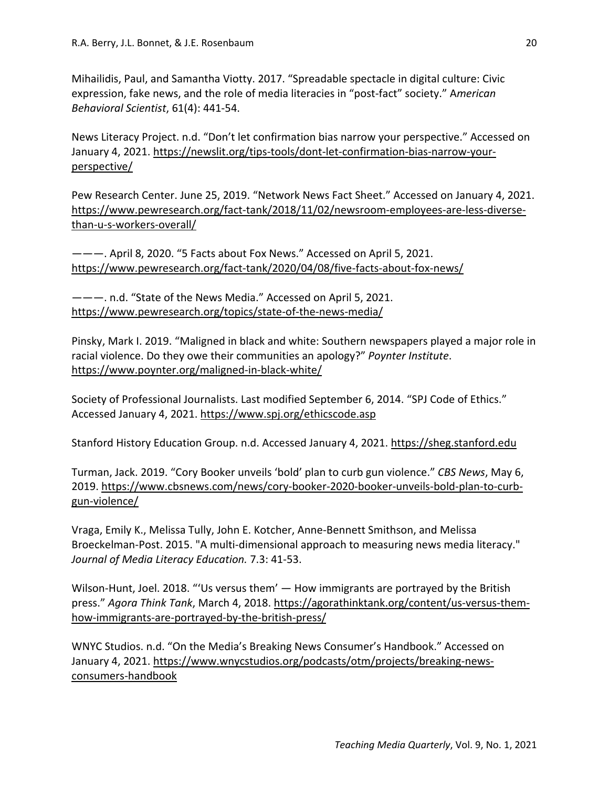Mihailidis, Paul, and Samantha Viotty. 2017. "Spreadable spectacle in digital culture: Civic expression, fake news, and the role of media literacies in "post-fact" society." A*merican Behavioral Scientist*, 61(4): 441-54.

News Literacy Project. n.d. "Don't let confirmation bias narrow your perspective." Accessed on January 4, 2021. [https://newslit.org/tips-tools/dont-let-confirmation-bias-narrow-your](https://newslit.org/tips-tools/dont-let-confirmation-bias-narrow-your-perspective/)[perspective/](https://newslit.org/tips-tools/dont-let-confirmation-bias-narrow-your-perspective/)

Pew Research Center. June 25, 2019. "Network News Fact Sheet." Accessed on January 4, 2021. [https://www.pewresearch.org/fact-tank/2018/11/02/newsroom-employees-are-less-diverse](https://www.pewresearch.org/fact-tank/2018/11/02/newsroom-employees-are-less-diverse-than-u-s-workers-overall/)[than-u-s-workers-overall/](https://www.pewresearch.org/fact-tank/2018/11/02/newsroom-employees-are-less-diverse-than-u-s-workers-overall/)

———. April 8, 2020. "5 Facts about Fox News." Accessed on April 5, 2021. <https://www.pewresearch.org/fact-tank/2020/04/08/five-facts-about-fox-news/>

———. n.d. "State of the News Media." Accessed on April 5, 2021. <https://www.pewresearch.org/topics/state-of-the-news-media/>

Pinsky, Mark I. 2019. "Maligned in black and white: Southern newspapers played a major role in racial violence. Do they owe their communities an apology?" *Poynter Institute*. <https://www.poynter.org/maligned-in-black-white/>

Society of Professional Journalists. Last modified September 6, 2014. "SPJ Code of Ethics." Accessed January 4, 2021.<https://www.spj.org/ethicscode.asp>

Stanford History Education Group. n.d. Accessed January 4, 2021. [https://sheg.stanford.edu](https://sheg.stanford.edu/)

Turman, Jack. 2019. "Cory Booker unveils 'bold' plan to curb gun violence." *CBS News*, May 6, 2019. [https://www.cbsnews.com/news/cory-booker-2020-booker-unveils-bold-plan-to-curb](https://www.cbsnews.com/news/cory-booker-2020-booker-unveils-bold-plan-to-curb-gun-violence/)[gun-violence/](https://www.cbsnews.com/news/cory-booker-2020-booker-unveils-bold-plan-to-curb-gun-violence/)

Vraga, Emily K., Melissa Tully, John E. Kotcher, Anne-Bennett Smithson, and Melissa Broeckelman-Post. 2015. "A multi-dimensional approach to measuring news media literacy." *Journal of Media Literacy Education.* 7.3: 41-53.

Wilson-Hunt, Joel. 2018. "'Us versus them' — How immigrants are portrayed by the British press." *Agora Think Tank*, March 4, 2018. [https://agorathinktank.org/content/us-versus-them](https://agorathinktank.org/content/us-versus-them-how-immigrants-are-portrayed-by-the-british-press/)[how-immigrants-are-portrayed-by-the-british-press/](https://agorathinktank.org/content/us-versus-them-how-immigrants-are-portrayed-by-the-british-press/)

WNYC Studios. n.d. "On the Media's Breaking News Consumer's Handbook." Accessed on January 4, 2021. [https://www.wnycstudios.org/podcasts/otm/projects/breaking-news](https://www.wnycstudios.org/podcasts/otm/projects/breaking-news-consumers-handbook)[consumers-handbook](https://www.wnycstudios.org/podcasts/otm/projects/breaking-news-consumers-handbook)